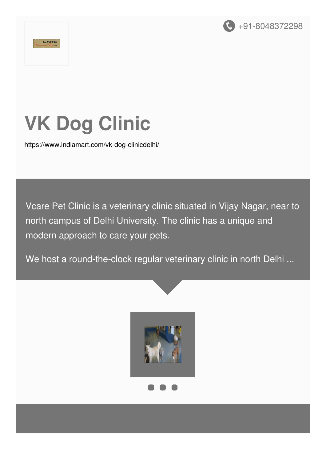



# **VK Dog Clinic**

<https://www.indiamart.com/vk-dog-clinicdelhi/>

Vcare Pet Clinic is a veterinary clinic situated in Vijay Nagar, near to north campus of Delhi University. The clinic has a unique and modern approach to care your pets.

We host a round-the-clock regular veterinary clinic in north Delhi ...

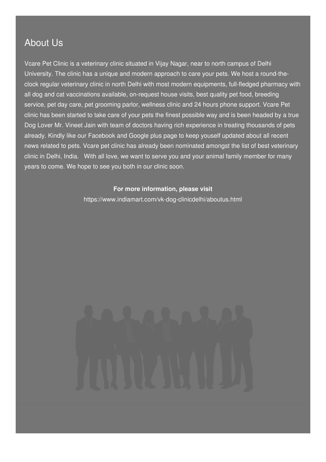#### About Us

Vcare Pet Clinic is a veterinary clinic situated in Vijay Nagar, near to north campus of Delhi University. The clinic has a unique and modern approach to care your pets. We host a round-theclock regular veterinary clinic in north Delhi with most modern equipments, full-fledged pharmacy with all dog and cat vaccinations available, on-request house visits, best quality pet food, breeding service, pet day care, pet grooming parlor, wellness clinic and 24 hours phone support. Vcare Pet clinic has been started to take care of your pets the finest possible way and is been headed by a true Dog Lover Mr. Vineet Jain with team of doctors having rich experience in treating thousands of pets already. Kindly like our Facebook and Google plus page to keep youself updated about all recent news related to pets. Vcare pet clinic has already been nominated amongst the list of best veterinary clinic in Delhi, India. With all love, we want to serve you and your animal family member for many years to come. We hope to see you both in our clinic soon.

#### **For more information, please visit**

<https://www.indiamart.com/vk-dog-clinicdelhi/aboutus.html>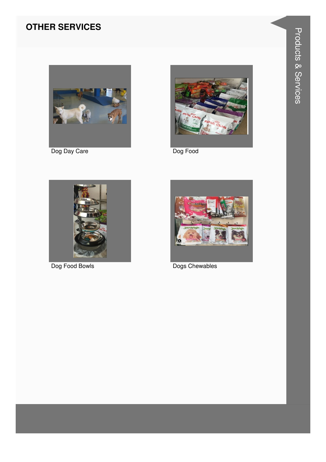### **OTHER SERVICES**



Dog Day Care



Dog Food



Dog Food Bowls



Dogs Chewables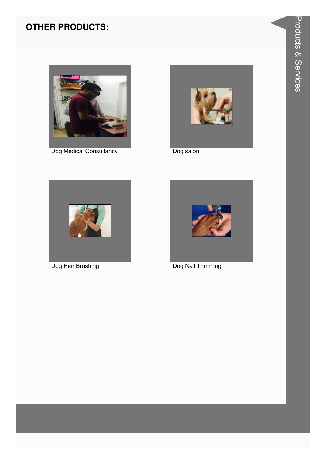### **OTHER PRODUCTS:**



Dog Medical Consultancy



Dog salon



Dog Hair Brushing



Dog Nail Trimming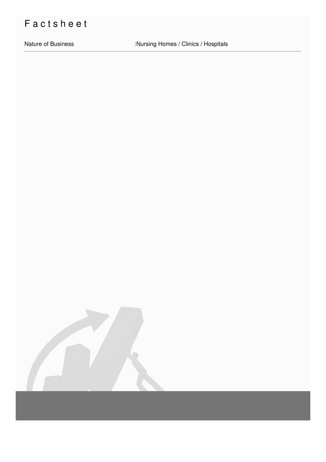## Factsheet

Nature of Business

:Nursing Homes / Clinics / Hospitals